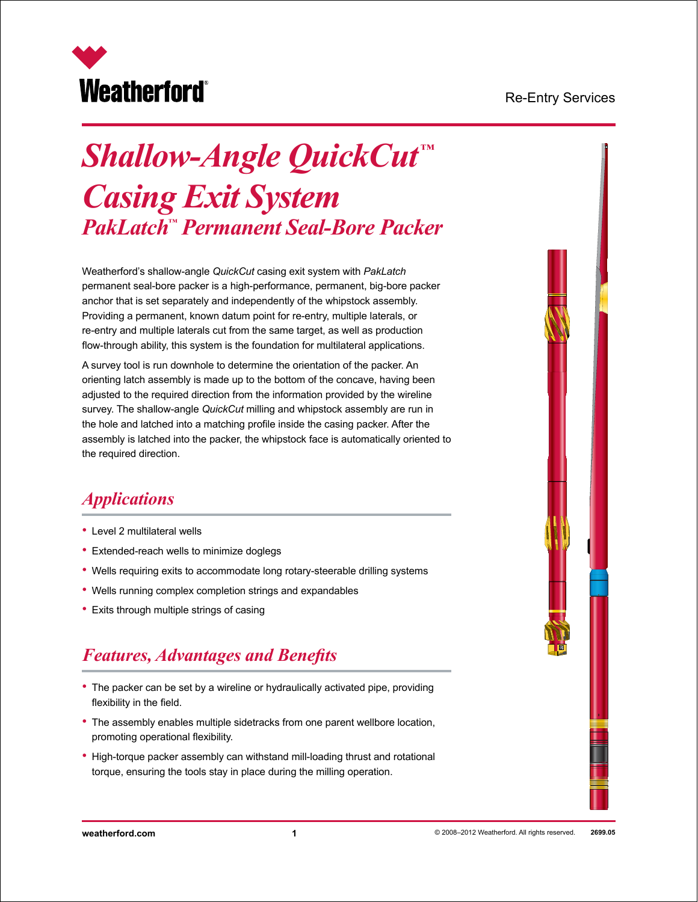#### Re-Entry Services



# *Shallow-Angle QuickCut ™ Casing Exit System PakLatch™ Permanent Seal-Bore Packer*

Weatherford's shallow-angle *QuickCut* casing exit system with *PakLatch* permanent seal-bore packer is a high-performance, permanent, big-bore packer anchor that is set separately and independently of the whipstock assembly. Providing a permanent, known datum point for re-entry, multiple laterals, or re-entry and multiple laterals cut from the same target, as well as production flow-through ability, this system is the foundation for multilateral applications.

A survey tool is run downhole to determine the orientation of the packer. An orienting latch assembly is made up to the bottom of the concave, having been adjusted to the required direction from the information provided by the wireline survey. The shallow-angle *QuickCut* milling and whipstock assembly are run in the hole and latched into a matching profile inside the casing packer. After the assembly is latched into the packer, the whipstock face is automatically oriented to the required direction.

## *Applications*

- Level 2 multilateral wells
- Extended-reach wells to minimize doglegs
- Wells requiring exits to accommodate long rotary-steerable drilling systems
- Wells running complex completion strings and expandables
- Exits through multiple strings of casing

# *Features, Advantages and Benefits*

- The packer can be set by a wireline or hydraulically activated pipe, providing flexibility in the field.
- The assembly enables multiple sidetracks from one parent wellbore location, promoting operational flexibility.
- High-torque packer assembly can withstand mill-loading thrust and rotational torque, ensuring the tools stay in place during the milling operation.

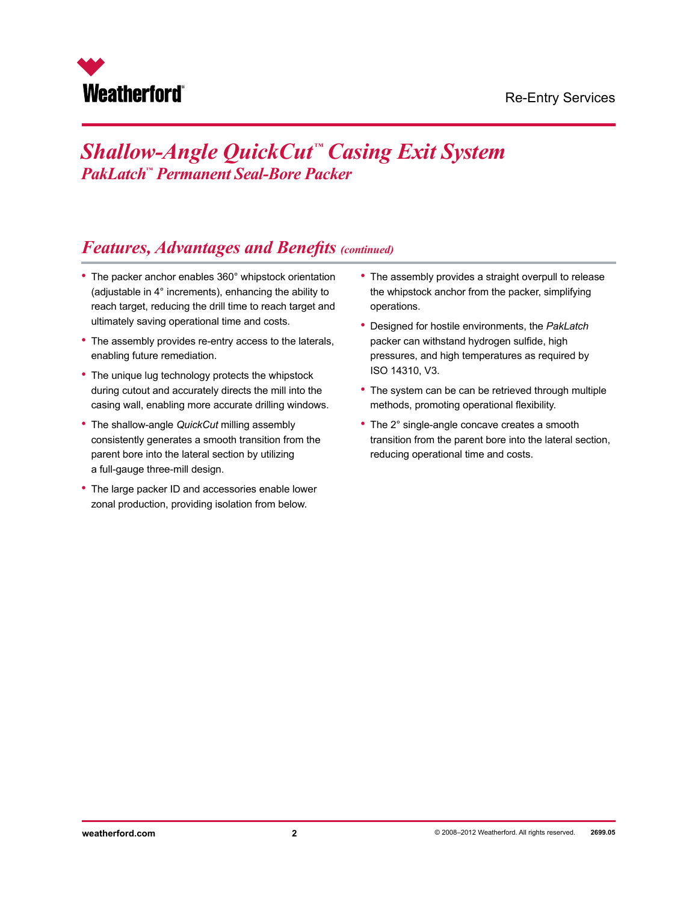

## *Features, Advantages and Benefits (continued)*

- The packer anchor enables 360° whipstock orientation (adjustable in 4° increments), enhancing the ability to reach target, reducing the drill time to reach target and ultimately saving operational time and costs.
- The assembly provides re-entry access to the laterals, enabling future remediation.
- The unique lug technology protects the whipstock during cutout and accurately directs the mill into the casing wall, enabling more accurate drilling windows.
- The shallow-angle *QuickCut* milling assembly consistently generates a smooth transition from the parent bore into the lateral section by utilizing a full-gauge three-mill design.
- The large packer ID and accessories enable lower zonal production, providing isolation from below.
- The assembly provides a straight overpull to release the whipstock anchor from the packer, simplifying operations.
- Designed for hostile environments, the *PakLatch* packer can withstand hydrogen sulfide, high pressures, and high temperatures as required by ISO 14310, V3.
- The system can be can be retrieved through multiple methods, promoting operational flexibility.
- The 2° single-angle concave creates a smooth transition from the parent bore into the lateral section, reducing operational time and costs.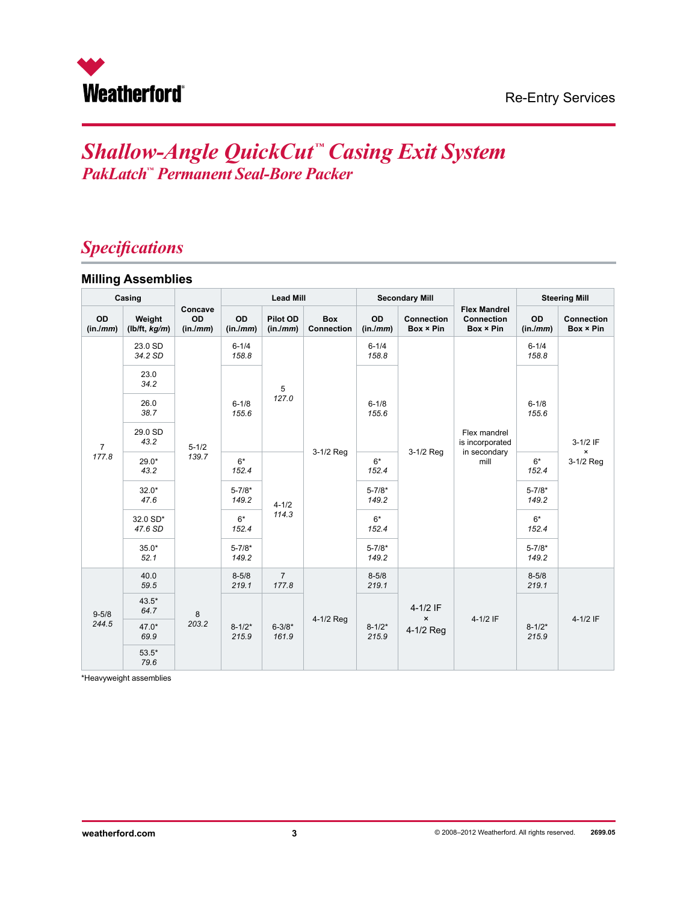

# *Specifications*

#### **Milling Assemblies**

| Casing                  |                         |                           | <b>Lead Mill</b>    |                         | <b>Secondary Mill</b>           |                     |                                           | <b>Steering Mill</b>                                    |                     |                                |
|-------------------------|-------------------------|---------------------------|---------------------|-------------------------|---------------------------------|---------------------|-------------------------------------------|---------------------------------------------------------|---------------------|--------------------------------|
| OD<br>(in./mm)          | Weight<br>(lb/ft, kq/m) | Concave<br>OD<br>(in./mm) | OD<br>(in.lmm)      | Pilot OD<br>(in/mm)     | <b>Box</b><br><b>Connection</b> | OD<br>(in./mm)      | <b>Connection</b><br>Box × Pin            | <b>Flex Mandrel</b><br><b>Connection</b><br>Box × Pin   | OD<br>(in/mm)       | <b>Connection</b><br>Box × Pin |
| $\overline{7}$<br>177.8 | 23.0 SD<br>34.2 SD      | $5 - 1/2$                 | $6 - 1/4$<br>158.8  |                         | 3-1/2 Reg                       | $6 - 1/4$<br>158.8  | 3-1/2 Req                                 | Flex mandrel<br>is incorporated<br>in secondary<br>mill | $6 - 1/4$<br>158.8  |                                |
|                         | 23.0<br>34.2            |                           |                     | 5<br>127.0              |                                 | $6 - 1/8$<br>155.6  |                                           |                                                         |                     |                                |
|                         | 26.0<br>38.7            |                           | $6 - 1/8$<br>155.6  |                         |                                 |                     |                                           |                                                         | $6 - 1/8$<br>155.6  |                                |
|                         | 29.0 SD<br>43.2         |                           |                     |                         |                                 |                     |                                           |                                                         |                     | 3-1/2 IF<br>$\pmb{\times}$     |
|                         | 29.0*<br>43.2           | 139.7                     | $6*$<br>152.4       | $4 - 1/2$<br>114.3      |                                 | $6*$<br>152.4       |                                           |                                                         | $6*$<br>152.4       | 3-1/2 Req                      |
|                         | $32.0*$<br>47.6         |                           | $5 - 7/8*$<br>149.2 |                         |                                 | $5 - 7/8*$<br>149.2 |                                           |                                                         | $5 - 7/8*$<br>149.2 |                                |
|                         | 32.0 SD*<br>47.6 SD     |                           | $6*$<br>152.4       |                         |                                 | $6*$<br>152.4       |                                           |                                                         | $6*$<br>152.4       |                                |
|                         | $35.0*$<br>52.1         |                           | $5 - 7/8*$<br>149.2 |                         |                                 | $5 - 7/8*$<br>149.2 |                                           |                                                         | $5 - 7/8*$<br>149.2 |                                |
| $9 - 5/8$<br>244.5      | 40.0<br>59.5            | 8<br>203.2                | $8 - 5/8$<br>219.1  | $\overline{7}$<br>177.8 |                                 | $8 - 5/8$<br>219.1  | $4-1/2$ IF<br>$\pmb{\times}$<br>4-1/2 Reg | $4 - 1/2$ IF                                            | $8 - 5/8$<br>219.1  |                                |
|                         | $43.5*$<br>64.7         |                           |                     |                         | 4-1/2 Reg                       | $8 - 1/2*$<br>215.9 |                                           |                                                         |                     | $4 - 1/2$ IF                   |
|                         | $47.0*$<br>69.9         |                           | $8 - 1/2*$<br>215.9 | $6 - 3/8*$<br>161.9     |                                 |                     |                                           |                                                         | $8 - 1/2*$<br>215.9 |                                |
|                         | $53.5*$<br>79.6         |                           |                     |                         |                                 |                     |                                           |                                                         |                     |                                |

\*Heavyweight assemblies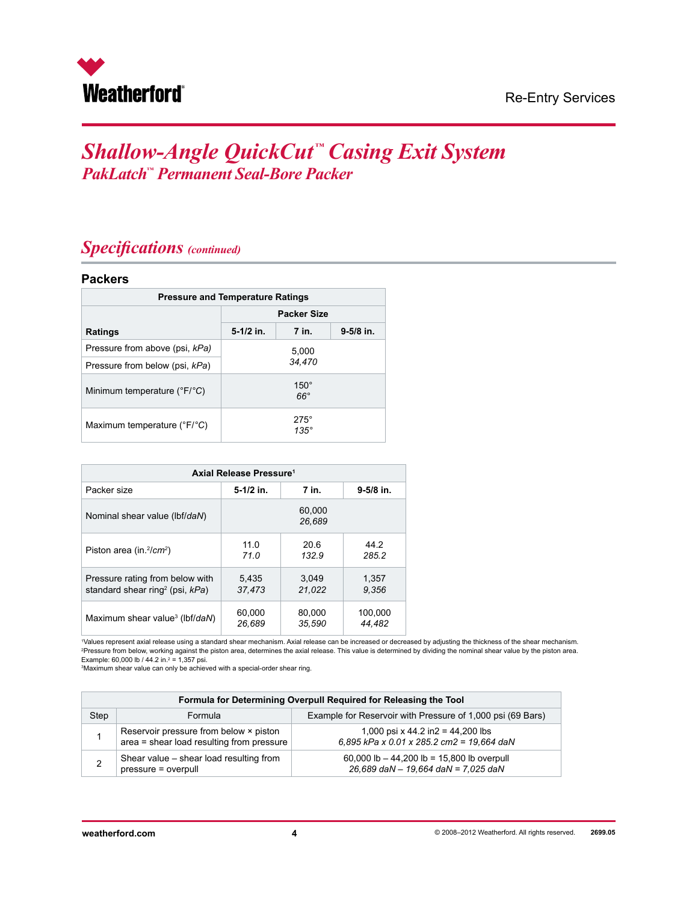

### *Specifications (continued)*

#### **Packers**

| <b>Pressure and Temperature Ratings</b>     |                    |                            |               |  |  |
|---------------------------------------------|--------------------|----------------------------|---------------|--|--|
|                                             | <b>Packer Size</b> |                            |               |  |  |
| <b>Ratings</b>                              | $5-1/2$ in.        | 7 in.                      | $9 - 5/8$ in. |  |  |
| Pressure from above (psi, kPa)              |                    | 5,000                      |               |  |  |
| Pressure from below (psi, kPa)              |                    | 34,470                     |               |  |  |
| Minimum temperature $(^{\circ}F/^{\circ}C)$ |                    | $150^\circ$<br>$66^\circ$  |               |  |  |
| Maximum temperature (°F/°C)                 |                    | $275^\circ$<br>$135^\circ$ |               |  |  |

| Axial Release Pressure <sup>1</sup>            |             |                  |               |  |  |
|------------------------------------------------|-------------|------------------|---------------|--|--|
| Packer size                                    | $5-1/2$ in. | 7 in.            | $9 - 5/8$ in. |  |  |
| Nominal shear value (lbf/daN)                  |             | 60.000<br>26.689 |               |  |  |
| Piston area (in. $^{2}/cm^{2}$ )               | 11.0        | 20.6             | 44.2          |  |  |
|                                                | 71.0        | 132.9            | 285.2         |  |  |
| Pressure rating from below with                | 5.435       | 3.049            | 1,357         |  |  |
| standard shear ring <sup>2</sup> (psi, $kPa$ ) | 37.473      | 21.022           | 9.356         |  |  |
| Maximum shear value <sup>3</sup> (lbf/daN)     | 60,000      | 80,000           | 100,000       |  |  |
|                                                | 26.689      | 35.590           | 44.482        |  |  |

1 Values represent axial release using a standard shear mechanism. Axial release can be increased or decreased by adjusting the thickness of the shear mechanism. 2 Pressure from below, working against the piston area, determines the axial release. This value is determined by dividing the nominal shear value by the piston area.

Example: 60,000 lb / 44.2 in.<sup>2</sup> = 1,357 psi.<br><sup>3</sup>Maximum shear value can only be achieved with a special-order shear ring.

| Formula for Determining Overpull Required for Releasing the Tool |                                                                                     |                                                                                     |  |  |  |
|------------------------------------------------------------------|-------------------------------------------------------------------------------------|-------------------------------------------------------------------------------------|--|--|--|
| Step                                                             | Formula                                                                             | Example for Reservoir with Pressure of 1,000 psi (69 Bars)                          |  |  |  |
|                                                                  | Reservoir pressure from below × piston<br>area = shear load resulting from pressure | 1,000 psi x 44.2 in $2 = 44,200$ lbs<br>6,895 kPa x 0.01 x 285.2 cm2 = 19,664 daN   |  |  |  |
|                                                                  | Shear value - shear load resulting from<br>pressure = overpull                      | 60,000 lb $-$ 44,200 lb = 15,800 lb overpull<br>26,689 daN - 19,664 daN = 7,025 daN |  |  |  |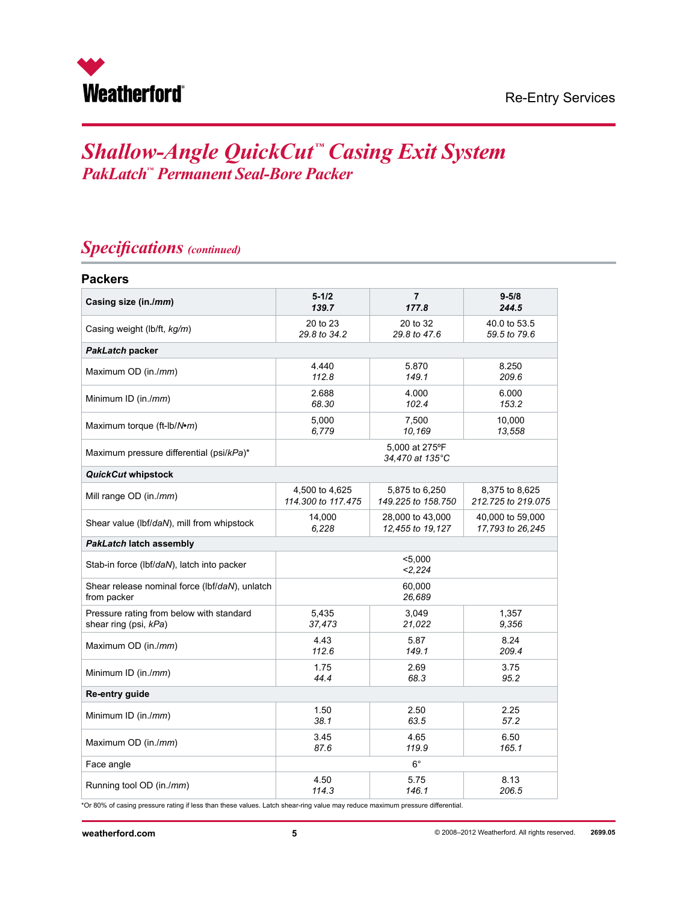

## *Specifications (continued)*

| <b>Packers</b>                                 |                                   |                    |                    |  |  |
|------------------------------------------------|-----------------------------------|--------------------|--------------------|--|--|
| Casing size (in./mm)                           | $5 - 1/2$                         | 7                  | $9 - 5/8$          |  |  |
|                                                | 139.7                             | 177.8              | 244.5              |  |  |
| Casing weight (lb/ft, kg/m)                    | 20 to 23                          | 20 to 32           | 40.0 to 53.5       |  |  |
|                                                | 29.8 to 34.2                      | 29.8 to 47.6       | 59.5 to 79.6       |  |  |
| PakLatch packer                                |                                   |                    |                    |  |  |
| Maximum OD (in./mm)                            | 4.440                             | 5.870              | 8.250              |  |  |
|                                                | 112.8                             | 149.1              | 209.6              |  |  |
| Minimum ID (in./mm)                            | 2.688                             | 4.000              | 6.000              |  |  |
|                                                | 68.30                             | 102.4              | 153.2              |  |  |
| Maximum torque (ft-lb/N•m)                     | 5,000                             | 7,500              | 10,000             |  |  |
|                                                | 6,779                             | 10,169             | 13,558             |  |  |
| Maximum pressure differential (psi/kPa)*       | 5,000 at 275°F<br>34.470 at 135°C |                    |                    |  |  |
| QuickCut whipstock                             |                                   |                    |                    |  |  |
| Mill range OD (in./mm)                         | 4,500 to 4,625                    | 5,875 to 6,250     | 8,375 to 8,625     |  |  |
|                                                | 114,300 to 117,475                | 149.225 to 158.750 | 212.725 to 219.075 |  |  |
| Shear value (lbf/daN), mill from whipstock     | 14,000                            | 28,000 to 43,000   | 40,000 to 59,000   |  |  |
|                                                | 6.228                             | 12,455 to 19,127   | 17,793 to 26,245   |  |  |
| <b>PakLatch latch assembly</b>                 |                                   |                    |                    |  |  |
| Stab-in force (lbf/daN), latch into packer     | $5,000$<br>2.224                  |                    |                    |  |  |
| Shear release nominal force (lbf/daN), unlatch | 60,000                            |                    |                    |  |  |
| from packer                                    | 26,689                            |                    |                    |  |  |
| Pressure rating from below with standard       | 5,435                             | 3,049              | 1,357              |  |  |
| shear ring (psi, kPa)                          | 37,473                            | 21,022             | 9.356              |  |  |
| Maximum OD (in./mm)                            | 4.43                              | 5.87               | 8.24               |  |  |
|                                                | 112.6                             | 149.1              | 209.4              |  |  |
| Minimum ID (in./mm)                            | 1.75                              | 2.69               | 3.75               |  |  |
|                                                | 44.4                              | 68.3               | 95.2               |  |  |
| Re-entry guide                                 |                                   |                    |                    |  |  |
| Minimum ID (in./ <i>mm</i> )                   | 1.50                              | 2.50               | 2.25               |  |  |
|                                                | 38.1                              | 63.5               | 57.2               |  |  |
| Maximum OD (in./mm)                            | 3.45                              | 4.65               | 6.50               |  |  |
|                                                | 87.6                              | 119.9              | 165.1              |  |  |
| Face angle                                     | $6^{\circ}$                       |                    |                    |  |  |
| Running tool OD (in./mm)                       | 4.50                              | 5.75               | 8.13               |  |  |
|                                                | 114.3                             | 146.1              | 206.5              |  |  |

\*Or 80% of casing pressure rating if less than these values. Latch shear-ring value may reduce maximum pressure differential.